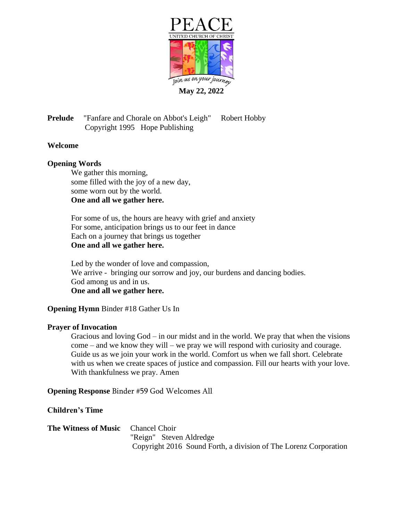

**Prelude** "Fanfare and Chorale on Abbot's Leigh" Robert Hobby Copyright 1995 Hope Publishing

# **Welcome**

# **Opening Words**

We gather this morning, some filled with the joy of a new day, some worn out by the world. **One and all we gather here.**

For some of us, the hours are heavy with grief and anxiety For some, anticipation brings us to our feet in dance Each on a journey that brings us together **One and all we gather here.**

Led by the wonder of love and compassion, We arrive - bringing our sorrow and joy, our burdens and dancing bodies. God among us and in us. **One and all we gather here.**

# **Opening Hymn** Binder #18 Gather Us In

# **Prayer of Invocation**

Gracious and loving God – in our midst and in the world. We pray that when the visions come – and we know they will – we pray we will respond with curiosity and courage. Guide us as we join your work in the world. Comfort us when we fall short. Celebrate with us when we create spaces of justice and compassion. Fill our hearts with your love. With thankfulness we pray. Amen

**Opening Response** Binder #59 God Welcomes All

**Children's Time**

**The Witness of Music** Chancel Choir "Reign" Steven Aldredge Copyright 2016 Sound Forth, a division of The Lorenz Corporation